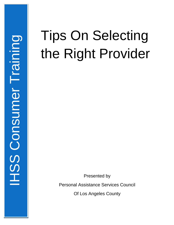## Tips On Selecting the Right Provider

Presented by

Personal Assistance Services Council

Of Los Angeles County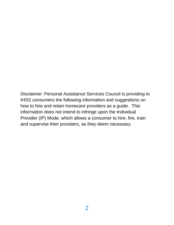Disclaimer: Personal Assistance Services Council is providing to IHSS consumers the following information and suggestions on how to hire and retain homecare providers as a guide. This information does not intend to infringe upon the Individual Provider (IP) Mode, which allows a consumer to hire, fire, train and supervise their providers, as they deem necessary.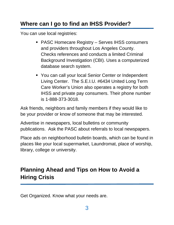## **Where can I go to find an IHSS Provider?**

You can use local registries:

- PASC Homecare Registry Serves IHSS consumers and providers throughout Los Angeles County. Checks references and conducts a limited Criminal Background Investigation (CBI). Uses a computerized database search system.
- **You can call your local Senior Center or Independent** Living Center. The S.E.I.U. #6434 United Long Term Care Worker's Union also operates a registry for both IHSS and private pay consumers. Their phone number is 1-888-373-3018.

Ask friends, neighbors and family members if they would like to be your provider or know of someone that may be interested.

Advertise in newspapers, local bulletins or community publications. Ask the PASC about referrals to local newspapers.

Place ads on neighborhood bulletin boards, which can be found in places like your local supermarket, Laundromat, place of worship, library, college or university.

## **Planning Ahead and Tips on How to Avoid a Hiring Crisis**

Get Organized. Know what your needs are.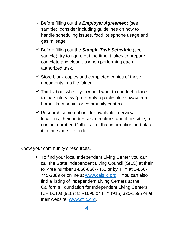- $\checkmark$  Before filling out the *Employer Agreement* (see sample), consider including guidelines on how to handle scheduling issues, food, telephone usage and gas mileage.
- $\checkmark$  Before filling out the **Sample Task Schedule** (see sample), try to figure out the time it takes to prepare, complete and clean up when performing each authorized task.
- $\checkmark$  Store blank copies and completed copies of these documents in a file folder.
- $\checkmark$  Think about where you would want to conduct a faceto-face interview (preferably a public place away from home like a senior or community center).
- $\checkmark$  Research some options for available interview locations, their addresses, directions and if possible, a contact number. Gather all of that information and place it in the same file folder.

Know your community's resources.

 To find your local Independent Living Center you can call the State Independent Living Council (SILC) at their toll-free number 1-866-866-7452 or by TTY at 1-866- 745-2889 or online at [www.calsilc.org.](http://www.calsilc.org/) You can also find a listing of Independent Living Centers at the California Foundation for Independent Living Centers (CFILC) at (916) 325-1690 or TTY (916) 325-1695 or at their website, [www.cfilc.org.](http://www.cfilc.org/)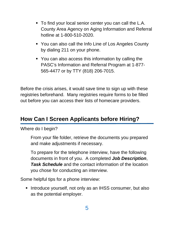- To find your local senior center you can call the L.A. County Area Agency on Aging Information and Referral hotline at 1-800-510-2020.
- You can also call the Info Line of Los Angeles County by dialing 211 on your phone.
- You can also access this information by calling the PASC's Information and Referral Program at 1-877- 565-4477 or by TTY (818) 206-7015.

Before the crisis arises, it would save time to sign up with these registries beforehand. Many registries require forms to be filled out before you can access their lists of homecare providers.

## **How Can I Screen Applicants before Hiring?**

Where do I begin?

From your file folder, retrieve the documents you prepared and make adjustments if necessary.

To prepare for the telephone interview, have the following documents in front of you. A completed *Job Description*, *Task Schedule* and the contact information of the location you chose for conducting an interview.

Some helpful tips for a phone interview:

**Introduce yourself, not only as an IHSS consumer, but also** as the potential employer.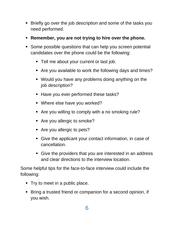- **Bilam** Briefly go over the job description and some of the tasks you need performed.
- **Remember, you are not trying to hire over the phone.**
- Some possible questions that can help you screen potential candidates over the phone could be the following:
	- Tell me about your current or last job.
	- Are you available to work the following days and times?
	- Would you have any problems doing anything on the job description?
	- Have you ever performed these tasks?
	- **Where else have you worked?**
	- Are you willing to comply with a no smoking rule?
	- Are you allergic to smoke?
	- Are you allergic to pets?
	- Give the applicant your contact information, in case of cancellation.
	- Give the providers that you are interested in an address and clear directions to the interview location.

Some helpful tips for the face-to-face interview could include the following:

- Try to meet in a public place.
- Bring a trusted friend or companion for a second opinion, if you wish.